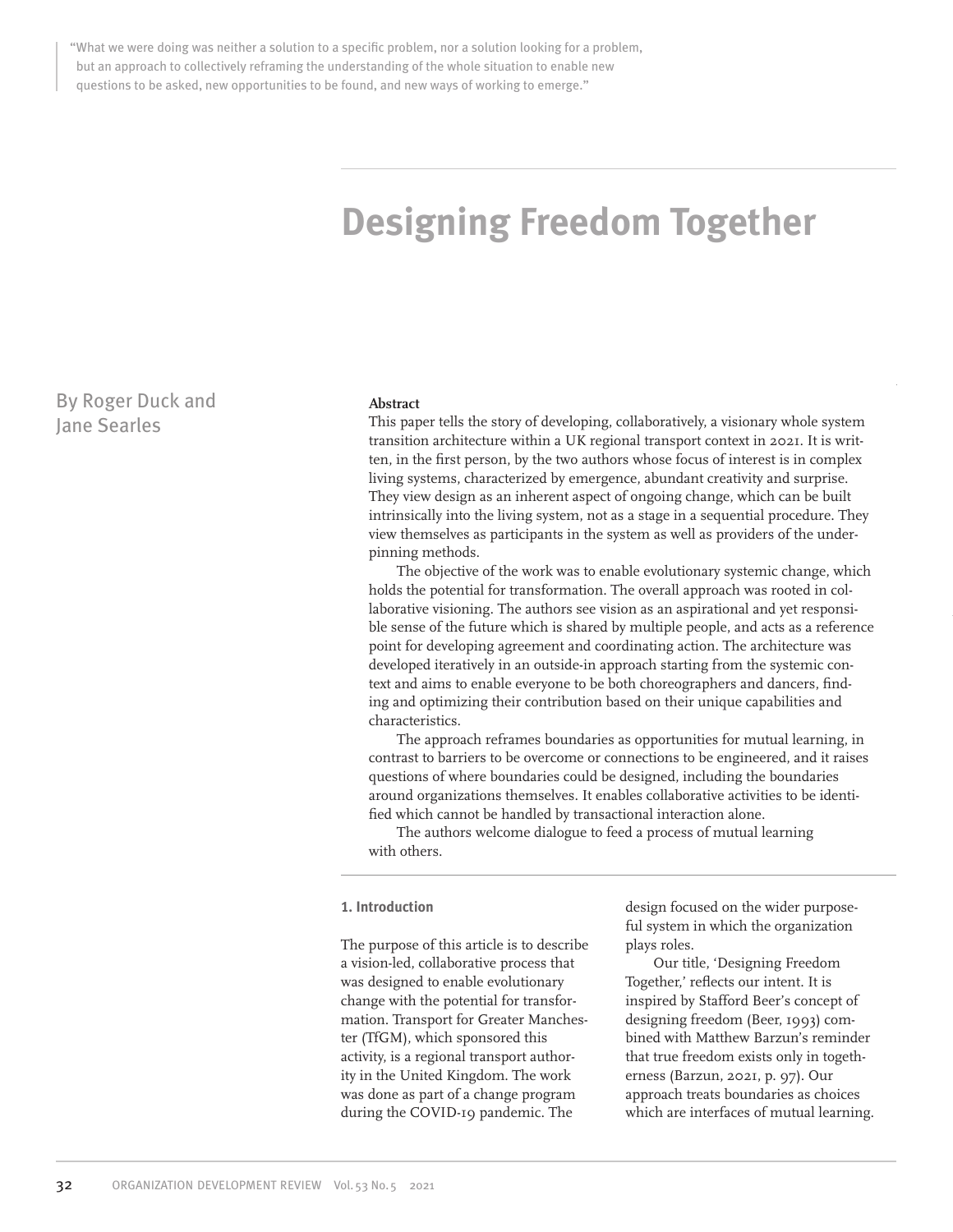"What we were doing was neither a solution to a specific problem, nor a solution looking for a problem, but an approach to collectively reframing the understanding of the whole situation to enable new questions to be asked, new opportunities to be found, and new ways of working to emerge."

# **Designing Freedom Together**

By Roger Duck and Jane Searles

#### **Abstract**

This paper tells the story of developing, collaboratively, a visionary whole system transition architecture within a UK regional transport context in 2021. It is written, in the first person, by the two authors whose focus of interest is in complex living systems, characterized by emergence, abundant creativity and surprise. They view design as an inherent aspect of ongoing change, which can be built intrinsically into the living system, not as a stage in a sequential procedure. They view themselves as participants in the system as well as providers of the underpinning methods.

The objective of the work was to enable evolutionary systemic change, which holds the potential for transformation. The overall approach was rooted in collaborative visioning. The authors see vision as an aspirational and yet responsible sense of the future which is shared by multiple people, and acts as a reference point for developing agreement and coordinating action. The architecture was developed iteratively in an outside-in approach starting from the systemic context and aims to enable everyone to be both choreographers and dancers, finding and optimizing their contribution based on their unique capabilities and characteristics.

The approach reframes boundaries as opportunities for mutual learning, in contrast to barriers to be overcome or connections to be engineered, and it raises questions of where boundaries could be designed, including the boundaries around organizations themselves. It enables collaborative activities to be identified which cannot be handled by transactional interaction alone.

The authors welcome dialogue to feed a process of mutual learning with others.

#### **1. Introduction**

The purpose of this article is to describe a vision-led, collaborative process that was designed to enable evolutionary change with the potential for transformation. Transport for Greater Manchester (TfGM), which sponsored this activity, is a regional transport authority in the United Kingdom. The work was done as part of a change program during the COVID-19 pandemic. The

design focused on the wider purposeful system in which the organization plays roles.

Our title, 'Designing Freedom Together,' reflects our intent. It is inspired by Stafford Beer's concept of designing freedom (Beer, 1993) combined with Matthew Barzun's reminder that true freedom exists only in togetherness (Barzun, 2021, p. 97). Our approach treats boundaries as choices which are interfaces of mutual learning.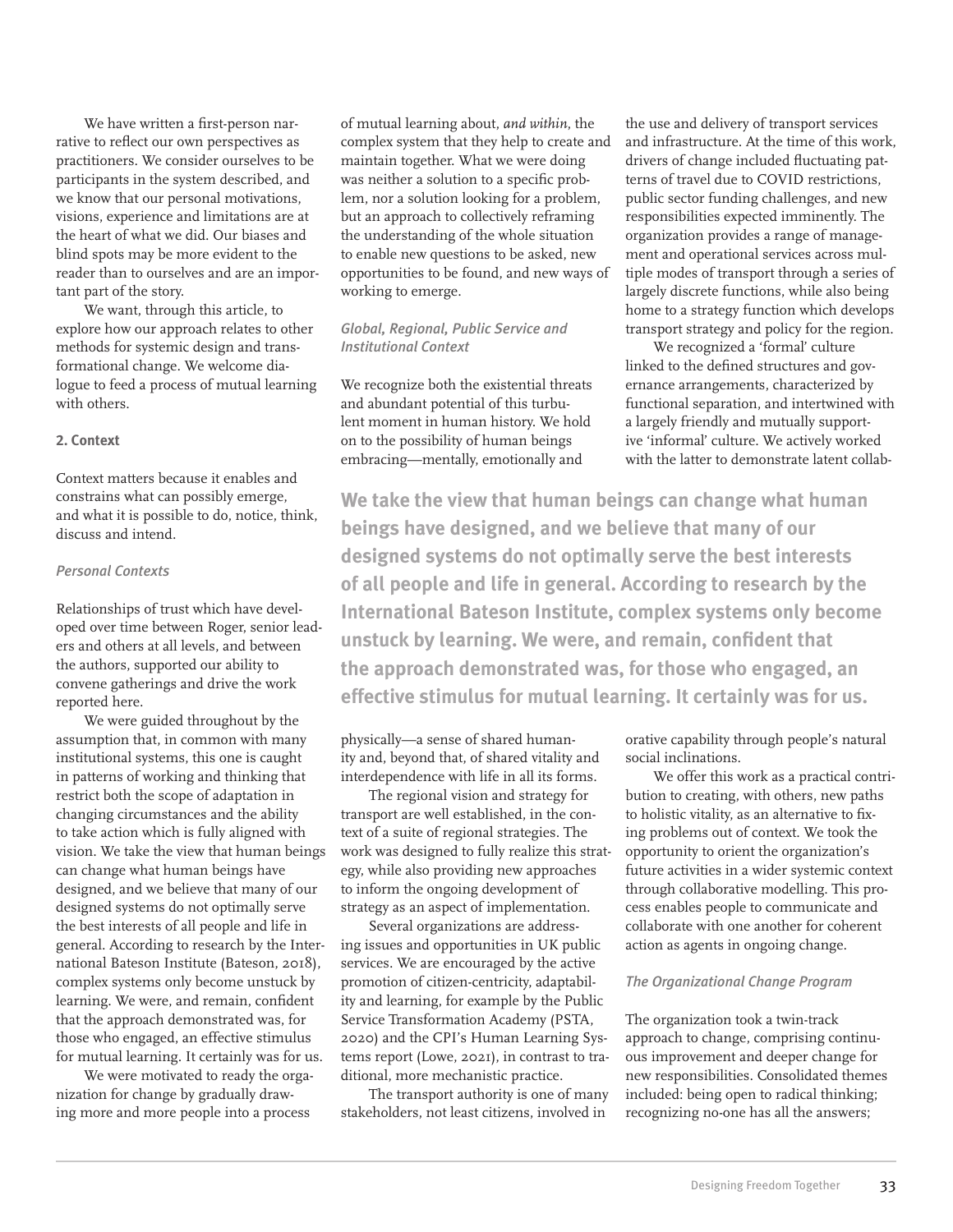We have written a first-person narrative to reflect our own perspectives as practitioners. We consider ourselves to be participants in the system described, and we know that our personal motivations, visions, experience and limitations are at the heart of what we did. Our biases and blind spots may be more evident to the reader than to ourselves and are an important part of the story.

We want, through this article, to explore how our approach relates to other methods for systemic design and transformational change. We welcome dialogue to feed a process of mutual learning with others.

#### **2. Context**

Context matters because it enables and constrains what can possibly emerge, and what it is possible to do, notice, think, discuss and intend.

#### *Personal Contexts*

Relationships of trust which have developed over time between Roger, senior leaders and others at all levels, and between the authors, supported our ability to convene gatherings and drive the work reported here.

We were guided throughout by the assumption that, in common with many institutional systems, this one is caught in patterns of working and thinking that restrict both the scope of adaptation in changing circumstances and the ability to take action which is fully aligned with vision. We take the view that human beings can change what human beings have designed, and we believe that many of our designed systems do not optimally serve the best interests of all people and life in general. According to research by the International Bateson Institute (Bateson, 2018), complex systems only become unstuck by learning. We were, and remain, confident that the approach demonstrated was, for those who engaged, an effective stimulus for mutual learning. It certainly was for us.

We were motivated to ready the organization for change by gradually drawing more and more people into a process

of mutual learning about, *and within*, the complex system that they help to create and maintain together. What we were doing was neither a solution to a specific problem, nor a solution looking for a problem, but an approach to collectively reframing the understanding of the whole situation to enable new questions to be asked, new opportunities to be found, and new ways of working to emerge.

# *Global, Regional, Public Service and Institutional Context*

We recognize both the existential threats and abundant potential of this turbulent moment in human history. We hold on to the possibility of human beings embracing— mentally, emotionally and

the use and delivery of transport services and infrastructure. At the time of this work, drivers of change included fluctuating patterns of travel due to COVID restrictions, public sector funding challenges, and new responsibilities expected imminently. The organization provides a range of management and operational services across multiple modes of transport through a series of largely discrete functions, while also being home to a strategy function which develops transport strategy and policy for the region.

We recognized a 'formal' culture linked to the defined structures and governance arrangements, characterized by functional separation, and intertwined with a largely friendly and mutually supportive 'informal' culture. We actively worked with the latter to demonstrate latent collab-

**We take the view that human beings can change what human beings have designed, and we believe that many of our designed systems do not optimally serve the best interests of all people and life in general. According to research by the International Bateson Institute, complex systems only become unstuck by learning. We were, and remain, confident that the approach demonstrated was, for those who engaged, an effective stimulus for mutual learning. It certainly was for us.**

physically—a sense of shared humanity and, beyond that, of shared vitality and interdependence with life in all its forms.

The regional vision and strategy for transport are well established, in the context of a suite of regional strategies. The work was designed to fully realize this strategy, while also providing new approaches to inform the ongoing development of strategy as an aspect of implementation.

Several organizations are addressing issues and opportunities in UK public services. We are encouraged by the active promotion of citizen-centricity, adaptability and learning, for example by the Public Service Transformation Academy (PSTA, 2020) and the CPI's Human Learning Systems report (Lowe, 2021), in contrast to traditional, more mechanistic practice.

The transport authority is one of many stakeholders, not least citizens, involved in

orative capability through people's natural social inclinations.

We offer this work as a practical contribution to creating, with others, new paths to holistic vitality, as an alternative to fixing problems out of context. We took the opportunity to orient the organization's future activities in a wider systemic context through collaborative modelling. This process enables people to communicate and collaborate with one another for coherent action as agents in ongoing change.

#### *The Organizational Change Program*

The organization took a twin-track approach to change, comprising continuous improvement and deeper change for new responsibilities. Consolidated themes included: being open to radical thinking; recognizing no-one has all the answers;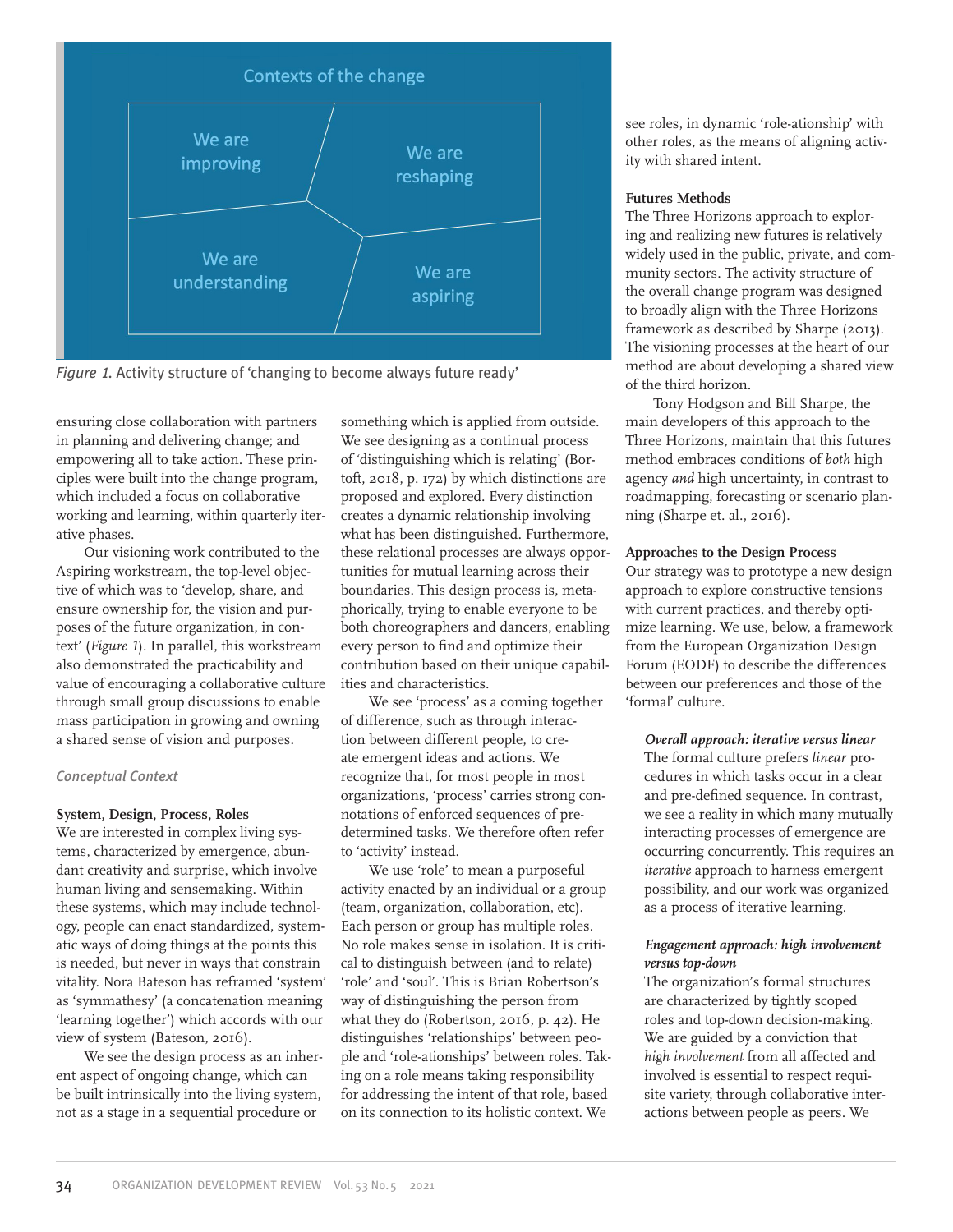

*Figure* 1*.* Activity structure of 'changing to become always future ready'

ensuring close collaboration with partners in planning and delivering change; and empowering all to take action. These principles were built into the change program, which included a focus on collaborative working and learning, within quarterly iterative phases.

Our visioning work contributed to the Aspiring workstream, the top-level objective of which was to 'develop, share, and ensure ownership for, the vision and purposes of the future organization, in context' (*Figure 1*). In parallel, this workstream also demonstrated the practicability and value of encouraging a collaborative culture through small group discussions to enable mass participation in growing and owning a shared sense of vision and purposes.

## *Conceptual Context*

# **System, Design, Process, Roles**

We are interested in complex living systems, characterized by emergence, abundant creativity and surprise, which involve human living and sensemaking. Within these systems, which may include technology, people can enact standardized, systematic ways of doing things at the points this is needed, but never in ways that constrain vitality. Nora Bateson has reframed 'system' as 'symmathesy' (a concatenation meaning 'learning together') which accords with our view of system (Bateson, 2016).

We see the design process as an inherent aspect of ongoing change, which can be built intrinsically into the living system, not as a stage in a sequential procedure or

something which is applied from outside. We see designing as a continual process of 'distinguishing which is relating' (Bortoft, 2018, p. 172) by which distinctions are proposed and explored. Every distinction creates a dynamic relationship involving what has been distinguished. Furthermore, these relational processes are always opportunities for mutual learning across their boundaries. This design process is, metaphorically, trying to enable everyone to be both choreographers and dancers, enabling every person to find and optimize their contribution based on their unique capabilities and characteristics.

We see 'process' as a coming together of difference, such as through interaction between different people, to create emergent ideas and actions. We recognize that, for most people in most organizations, 'process' carries strong connotations of enforced sequences of predetermined tasks. We therefore often refer to 'activity' instead.

We use 'role' to mean a purposeful activity enacted by an individual or a group (team, organization, collaboration, etc). Each person or group has multiple roles. No role makes sense in isolation. It is critical to distinguish between (and to relate) 'role' and 'soul'. This is Brian Robertson's way of distinguishing the person from what they do (Robertson, 2016, p. 42). He distinguishes 'relationships' between people and 'role-ationships' between roles. Taking on a role means taking responsibility for addressing the intent of that role, based on its connection to its holistic context. We

see roles, in dynamic 'role-ationship' with other roles, as the means of aligning activity with shared intent.

## **Futures Methods**

The Three Horizons approach to exploring and realizing new futures is relatively widely used in the public, private, and community sectors. The activity structure of the overall change program was designed to broadly align with the Three Horizons framework as described by Sharpe (2013). The visioning processes at the heart of our method are about developing a shared view of the third horizon.

Tony Hodgson and Bill Sharpe, the main developers of this approach to the Three Horizons, maintain that this futures method embraces conditions of *both* high agency *and* high uncertainty, in contrast to roadmapping, forecasting or scenario planning (Sharpe et. al., 2016).

## **Approaches to the Design Process**

Our strategy was to prototype a new design approach to explore constructive tensions with current practices, and thereby optimize learning. We use, below, a framework from the European Organization Design Forum (EODF) to describe the differences between our preferences and those of the 'formal' culture.

## *Overall approach: iterative versus linear*

The formal culture prefers *linear* procedures in which tasks occur in a clear and pre-defined sequence. In contrast, we see a reality in which many mutually interacting processes of emergence are occurring concurrently. This requires an *iterative* approach to harness emergent possibility, and our work was organized as a process of iterative learning.

## *Engagement approach: high involvement versus top-down*

The organization's formal structures are characterized by tightly scoped roles and top-down decision-making. We are guided by a conviction that *high involvement* from all affected and involved is essential to respect requisite variety, through collaborative interactions between people as peers. We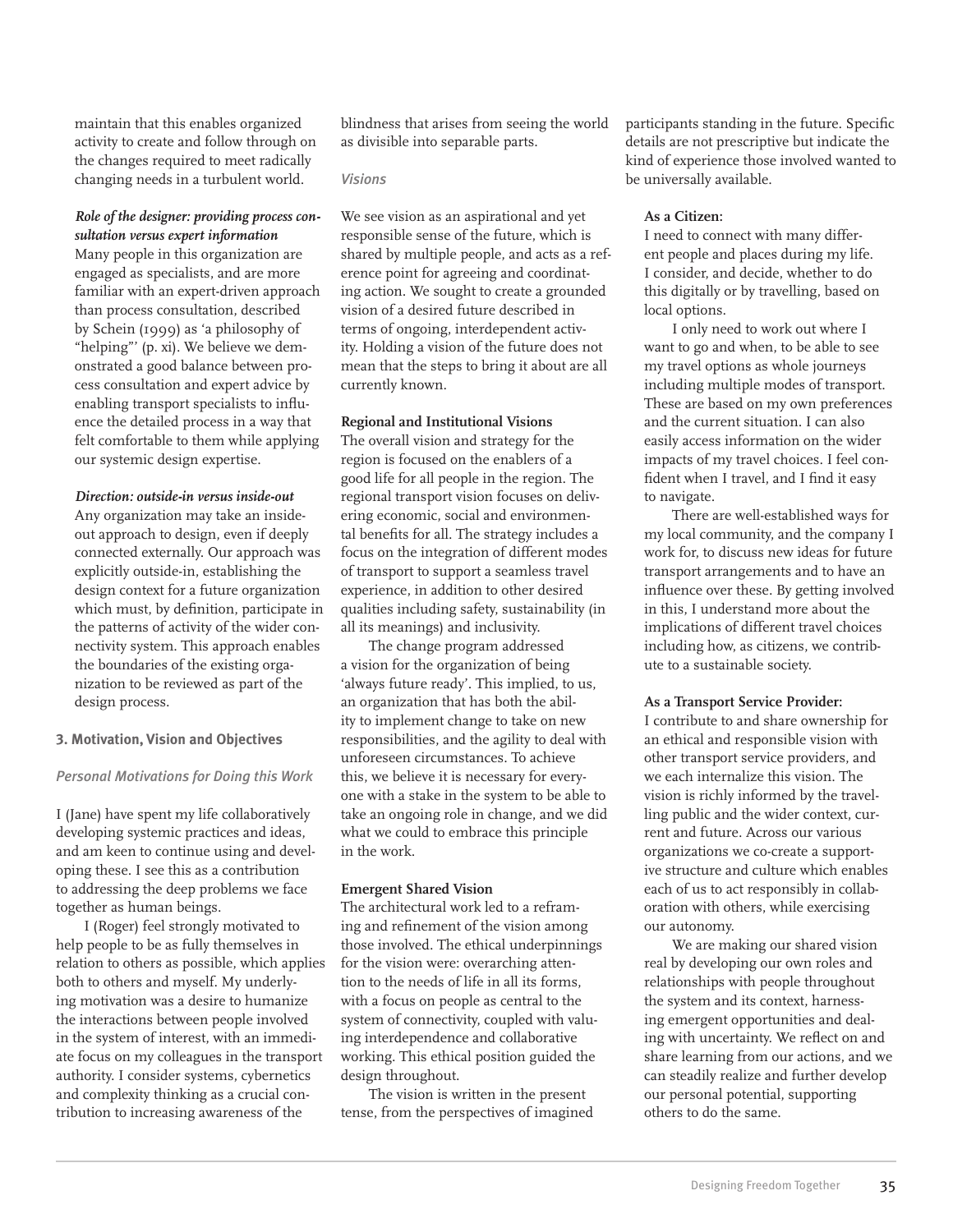maintain that this enables organized activity to create and follow through on the changes required to meet radically changing needs in a turbulent world.

# *Role of the designer: providing process consultation versus expert information*

Many people in this organization are engaged as specialists, and are more familiar with an expert-driven approach than process consultation, described by Schein (1999) as 'a philosophy of "helping"' (p. xi). We believe we demonstrated a good balance between process consultation and expert advice by enabling transport specialists to influence the detailed process in a way that felt comfortable to them while applying our systemic design expertise.

# *Direction: outside-in versus inside-out*

Any organization may take an insideout approach to design, even if deeply connected externally. Our approach was explicitly outside-in, establishing the design context for a future organization which must, by definition, participate in the patterns of activity of the wider connectivity system. This approach enables the boundaries of the existing organization to be reviewed as part of the design process.

## **3. Motivation, Vision and Objectives**

## *Personal Motivations for Doing this Work*

I (Jane) have spent my life collaboratively developing systemic practices and ideas, and am keen to continue using and developing these. I see this as a contribution to addressing the deep problems we face together as human beings.

I (Roger) feel strongly motivated to help people to be as fully themselves in relation to others as possible, which applies both to others and myself. My underlying motivation was a desire to humanize the interactions between people involved in the system of interest, with an immediate focus on my colleagues in the transport authority. I consider systems, cybernetics and complexity thinking as a crucial contribution to increasing awareness of the

blindness that arises from seeing the world as divisible into separable parts.

#### *Visions*

We see vision as an aspirational and yet responsible sense of the future, which is shared by multiple people, and acts as a reference point for agreeing and coordinating action. We sought to create a grounded vision of a desired future described in terms of ongoing, interdependent activity. Holding a vision of the future does not mean that the steps to bring it about are all currently known.

#### **Regional and Institutional Visions**

The overall vision and strategy for the region is focused on the enablers of a good life for all people in the region. The regional transport vision focuses on delivering economic, social and environmental benefits for all. The strategy includes a focus on the integration of different modes of transport to support a seamless travel experience, in addition to other desired qualities including safety, sustainability (in all its meanings) and inclusivity.

The change program addressed a vision for the organization of being 'always future ready'. This implied, to us, an organization that has both the ability to implement change to take on new responsibilities, and the agility to deal with unforeseen circumstances. To achieve this, we believe it is necessary for everyone with a stake in the system to be able to take an ongoing role in change, and we did what we could to embrace this principle in the work.

## **Emergent Shared Vision**

The architectural work led to a reframing and refinement of the vision among those involved. The ethical underpinnings for the vision were: overarching attention to the needs of life in all its forms, with a focus on people as central to the system of connectivity, coupled with valuing interdependence and collaborative working. This ethical position guided the design throughout.

The vision is written in the present tense, from the perspectives of imagined participants standing in the future. Specific details are not prescriptive but indicate the kind of experience those involved wanted to be universally available.

## **As a Citizen:**

I need to connect with many different people and places during my life. I consider, and decide, whether to do this digitally or by travelling, based on local options.

I only need to work out where I want to go and when, to be able to see my travel options as whole journeys including multiple modes of transport. These are based on my own preferences and the current situation. I can also easily access information on the wider impacts of my travel choices. I feel confident when I travel, and I find it easy to navigate.

There are well-established ways for my local community, and the company I work for, to discuss new ideas for future transport arrangements and to have an influence over these. By getting involved in this, I understand more about the implications of different travel choices including how, as citizens, we contribute to a sustainable society.

#### **As a Transport Service Provider:**

I contribute to and share ownership for an ethical and responsible vision with other transport service providers, and we each internalize this vision. The vision is richly informed by the travelling public and the wider context, current and future. Across our various organizations we co-create a supportive structure and culture which enables each of us to act responsibly in collaboration with others, while exercising our autonomy.

We are making our shared vision real by developing our own roles and relationships with people throughout the system and its context, harnessing emergent opportunities and dealing with uncertainty. We reflect on and share learning from our actions, and we can steadily realize and further develop our personal potential, supporting others to do the same.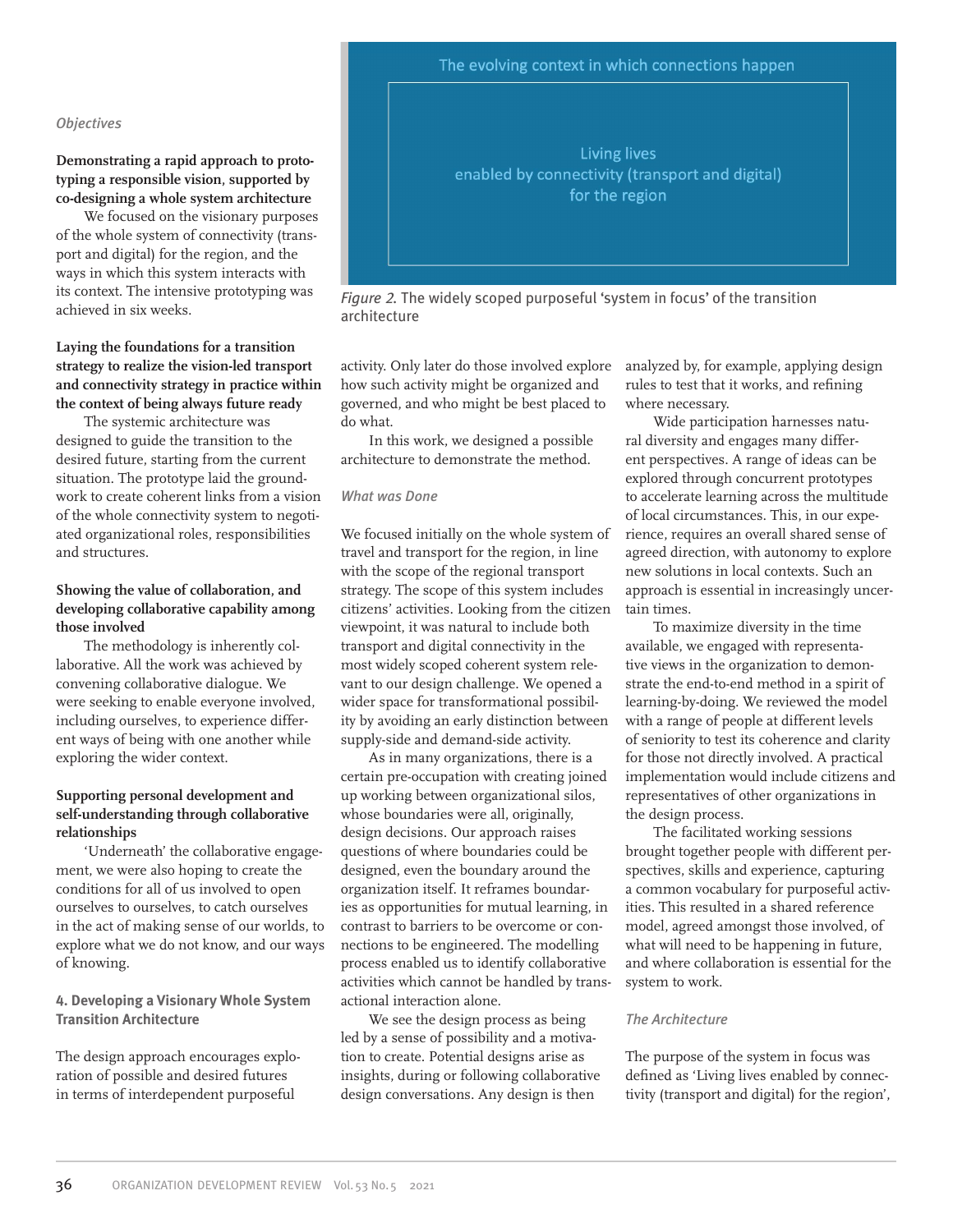# The evolving context in which connections happen

#### *Objectives*

**Demonstrating a rapid approach to prototyping a responsible vision, supported by co-designing a whole system architecture**

We focused on the visionary purposes of the whole system of connectivity (transport and digital) for the region, and the ways in which this system interacts with its context. The intensive prototyping was achieved in six weeks.

# **Laying the foundations for a transition strategy to realize the vision-led transport and connectivity strategy in practice within the context of being always future ready**

The systemic architecture was designed to guide the transition to the desired future, starting from the current situation. The prototype laid the groundwork to create coherent links from a vision of the whole connectivity system to negotiated organizational roles, responsibilities and structures.

# **Showing the value of collaboration, and developing collaborative capability among those involved**

The methodology is inherently collaborative. All the work was achieved by convening collaborative dialogue. We were seeking to enable everyone involved, including ourselves, to experience different ways of being with one another while exploring the wider context.

# **Supporting personal development and self-understanding through collaborative relationships**

'Underneath' the collaborative engagement, we were also hoping to create the conditions for all of us involved to open ourselves to ourselves, to catch ourselves in the act of making sense of our worlds, to explore what we do not know, and our ways of knowing.

# **4. Developing a Visionary Whole System Transition Architecture**

The design approach encourages exploration of possible and desired futures in terms of interdependent purposeful



*Figure* 2*.* The widely scoped purposeful 'system in focus' of the transition architecture

activity. Only later do those involved explore how such activity might be organized and governed, and who might be best placed to do what.

In this work, we designed a possible architecture to demonstrate the method.

#### *What was Done*

We focused initially on the whole system of travel and transport for the region, in line with the scope of the regional transport strategy. The scope of this system includes citizens' activities. Looking from the citizen viewpoint, it was natural to include both transport and digital connectivity in the most widely scoped coherent system relevant to our design challenge. We opened a wider space for transformational possibility by avoiding an early distinction between supply-side and demand-side activity.

As in many organizations, there is a certain pre-occupation with creating joined up working between organizational silos, whose boundaries were all, originally, design decisions. Our approach raises questions of where boundaries could be designed, even the boundary around the organization itself. It reframes boundaries as opportunities for mutual learning, in contrast to barriers to be overcome or connections to be engineered. The modelling process enabled us to identify collaborative activities which cannot be handled by transactional interaction alone.

We see the design process as being led by a sense of possibility and a motivation to create. Potential designs arise as insights, during or following collaborative design conversations. Any design is then

analyzed by, for example, applying design rules to test that it works, and refining where necessary.

Wide participation harnesses natural diversity and engages many different perspectives. A range of ideas can be explored through concurrent prototypes to accelerate learning across the multitude of local circumstances. This, in our experience, requires an overall shared sense of agreed direction, with autonomy to explore new solutions in local contexts. Such an approach is essential in increasingly uncertain times.

To maximize diversity in the time available, we engaged with representative views in the organization to demonstrate the end-to-end method in a spirit of learning-by-doing. We reviewed the model with a range of people at different levels of seniority to test its coherence and clarity for those not directly involved. A practical implementation would include citizens and representatives of other organizations in the design process.

The facilitated working sessions brought together people with different perspectives, skills and experience, capturing a common vocabulary for purposeful activities. This resulted in a shared reference model, agreed amongst those involved, of what will need to be happening in future, and where collaboration is essential for the system to work.

## *The Architecture*

The purpose of the system in focus was defined as 'Living lives enabled by connectivity (transport and digital) for the region',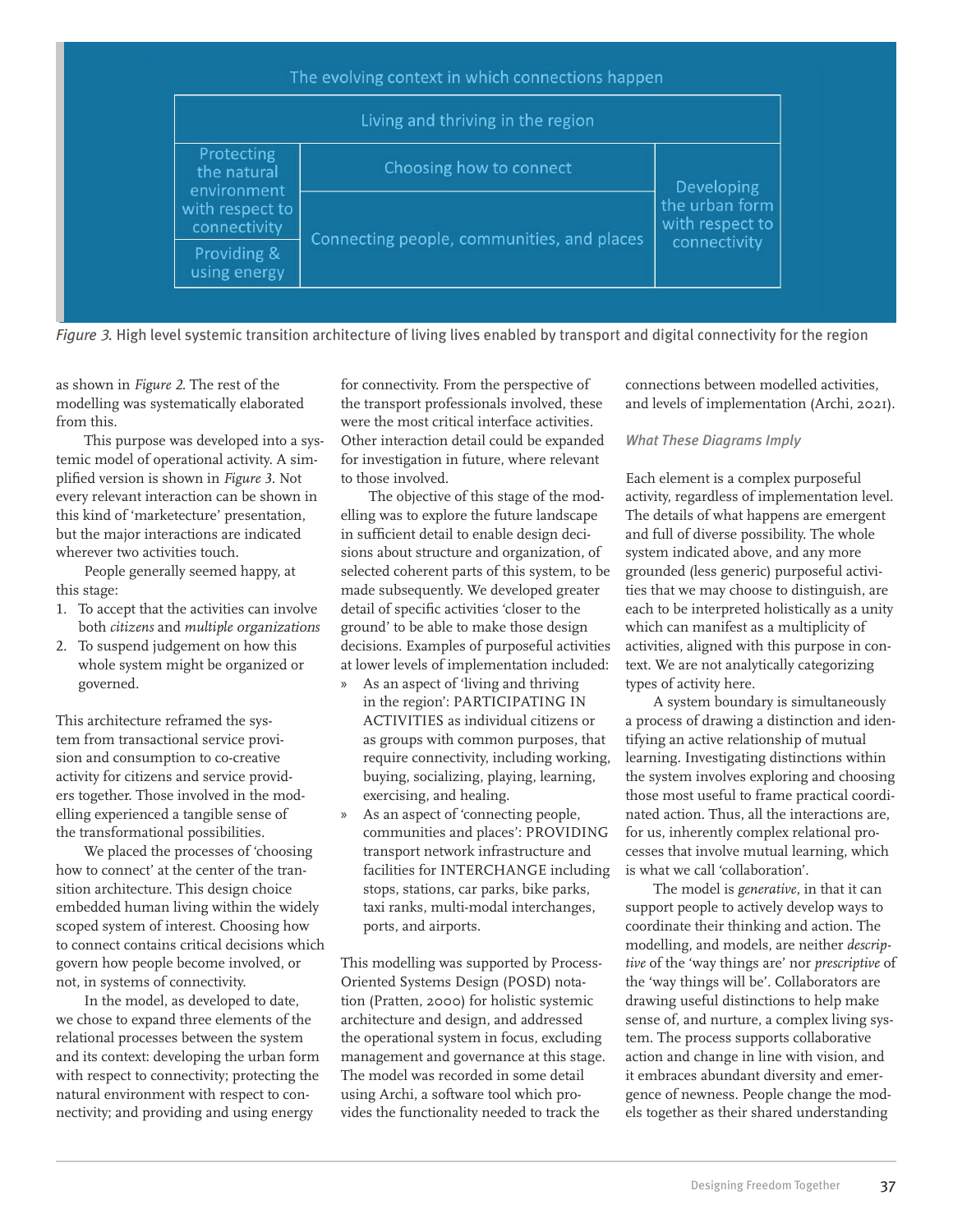| The evolving context in which connections happen                            |                                            |                                                                        |  |  |
|-----------------------------------------------------------------------------|--------------------------------------------|------------------------------------------------------------------------|--|--|
| Living and thriving in the region                                           |                                            |                                                                        |  |  |
| Protecting<br>the natural<br>environment<br>with respect to<br>connectivity | Choosing how to connect                    | <b>Developing</b><br>the urban form<br>with respect to<br>connectivity |  |  |
|                                                                             | Connecting people, communities, and places |                                                                        |  |  |
| Providing &<br>using energy                                                 |                                            |                                                                        |  |  |

*Figure* 3*.* High level systemic transition architecture of living lives enabled by transport and digital connectivity for the region

as shown in *Figure 2*. The rest of the modelling was systematically elaborated from this.

This purpose was developed into a systemic model of operational activity. A simplified version is shown in *Figure 3*. Not every relevant interaction can be shown in this kind of 'marketecture' presentation, but the major interactions are indicated wherever two activities touch.

People generally seemed happy, at this stage:

- 1. To accept that the activities can involve both *citizens* and *multiple* organization*s*
- 2. To suspend judgement on how this whole system might be organized or governed.

This architecture reframed the system from transactional service provision and consumption to co-creative activity for citizens and service providers together. Those involved in the modelling experienced a tangible sense of the transformational possibilities.

We placed the processes of 'choosing how to connect' at the center of the transition architecture. This design choice embedded human living within the widely scoped system of interest. Choosing how to connect contains critical decisions which govern how people become involved, or not, in systems of connectivity.

In the model, as developed to date, we chose to expand three elements of the relational processes between the system and its context: developing the urban form with respect to connectivity; protecting the natural environment with respect to connectivity; and providing and using energy

for connectivity. From the perspective of the transport professionals involved, these were the most critical interface activities. Other interaction detail could be expanded for investigation in future, where relevant to those involved.

The objective of this stage of the modelling was to explore the future landscape in sufficient detail to enable design decisions about structure and organization, of selected coherent parts of this system, to be made subsequently. We developed greater detail of specific activities 'closer to the ground' to be able to make those design decisions. Examples of purposeful activities at lower levels of implementation included:

- » As an aspect of 'living and thriving in the region': PARTICIPATING IN ACTIVITIES as individual citizens or as groups with common purposes, that require connectivity, including working, buying, socializing, playing, learning, exercising, and healing.
- » As an aspect of 'connecting people, communities and places': PROVIDING transport network infrastructure and facilities for INTERCHANGE including stops, stations, car parks, bike parks, taxi ranks, multi-modal interchanges, ports, and airports.

This modelling was supported by Process-Oriented Systems Design (POSD) notation (Pratten, 2000) for holistic systemic architecture and design, and addressed the operational system in focus, excluding management and governance at this stage. The model was recorded in some detail using Archi, a software tool which provides the functionality needed to track the

connections between modelled activities, and levels of implementation (Archi, 2021).

# *What These Diagrams Imply*

Each element is a complex purposeful activity, regardless of implementation level. The details of what happens are emergent and full of diverse possibility. The whole system indicated above, and any more grounded (less generic) purposeful activities that we may choose to distinguish, are each to be interpreted holistically as a unity which can manifest as a multiplicity of activities, aligned with this purpose in context. We are not analytically categorizing types of activity here.

A system boundary is simultaneously a process of drawing a distinction and identifying an active relationship of mutual learning. Investigating distinctions within the system involves exploring and choosing those most useful to frame practical coordinated action. Thus, all the interactions are, for us, inherently complex relational processes that involve mutual learning, which is what we call 'collaboration'.

The model is *generative*, in that it can support people to actively develop ways to coordinate their thinking and action. The modelling, and models, are neither *descriptive* of the 'way things are' nor *prescriptive* of the 'way things will be'. Collaborators are drawing useful distinctions to help make sense of, and nurture, a complex living system. The process supports collaborative action and change in line with vision, and it embraces abundant diversity and emergence of newness. People change the models together as their shared understanding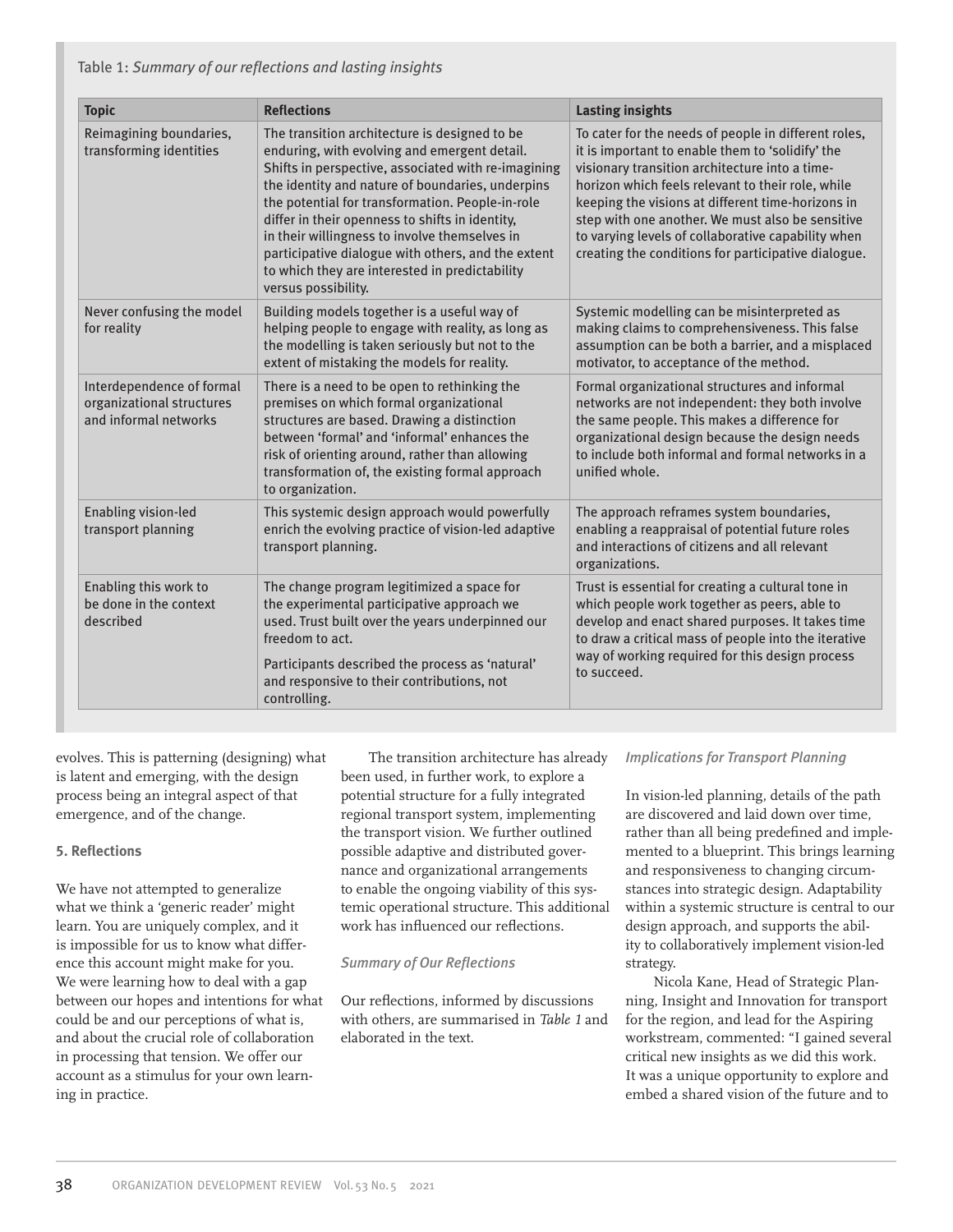Table 1: *Summary of our reflections and lasting insights*

| <b>Topic</b>                                                                    | <b>Reflections</b>                                                                                                                                                                                                                                                                                                                                                                                                                                                                              | <b>Lasting insights</b>                                                                                                                                                                                                                                                                                                                                                                                                               |
|---------------------------------------------------------------------------------|-------------------------------------------------------------------------------------------------------------------------------------------------------------------------------------------------------------------------------------------------------------------------------------------------------------------------------------------------------------------------------------------------------------------------------------------------------------------------------------------------|---------------------------------------------------------------------------------------------------------------------------------------------------------------------------------------------------------------------------------------------------------------------------------------------------------------------------------------------------------------------------------------------------------------------------------------|
| Reimagining boundaries,<br>transforming identities                              | The transition architecture is designed to be<br>enduring, with evolving and emergent detail.<br>Shifts in perspective, associated with re-imagining<br>the identity and nature of boundaries, underpins<br>the potential for transformation. People-in-role<br>differ in their openness to shifts in identity,<br>in their willingness to involve themselves in<br>participative dialogue with others, and the extent<br>to which they are interested in predictability<br>versus possibility. | To cater for the needs of people in different roles,<br>it is important to enable them to 'solidify' the<br>visionary transition architecture into a time-<br>horizon which feels relevant to their role, while<br>keeping the visions at different time-horizons in<br>step with one another. We must also be sensitive<br>to varying levels of collaborative capability when<br>creating the conditions for participative dialogue. |
| Never confusing the model<br>for reality                                        | Building models together is a useful way of<br>helping people to engage with reality, as long as<br>the modelling is taken seriously but not to the<br>extent of mistaking the models for reality.                                                                                                                                                                                                                                                                                              | Systemic modelling can be misinterpreted as<br>making claims to comprehensiveness. This false<br>assumption can be both a barrier, and a misplaced<br>motivator, to acceptance of the method.                                                                                                                                                                                                                                         |
| Interdependence of formal<br>organizational structures<br>and informal networks | There is a need to be open to rethinking the<br>premises on which formal organizational<br>structures are based. Drawing a distinction<br>between 'formal' and 'informal' enhances the<br>risk of orienting around, rather than allowing<br>transformation of, the existing formal approach<br>to organization.                                                                                                                                                                                 | Formal organizational structures and informal<br>networks are not independent: they both involve<br>the same people. This makes a difference for<br>organizational design because the design needs<br>to include both informal and formal networks in a<br>unified whole.                                                                                                                                                             |
| <b>Enabling vision-led</b><br>transport planning                                | This systemic design approach would powerfully<br>enrich the evolving practice of vision-led adaptive<br>transport planning.                                                                                                                                                                                                                                                                                                                                                                    | The approach reframes system boundaries,<br>enabling a reappraisal of potential future roles<br>and interactions of citizens and all relevant<br>organizations.                                                                                                                                                                                                                                                                       |
| Enabling this work to<br>be done in the context<br>described                    | The change program legitimized a space for<br>the experimental participative approach we<br>used. Trust built over the years underpinned our<br>freedom to act.<br>Participants described the process as 'natural'<br>and responsive to their contributions, not<br>controlling.                                                                                                                                                                                                                | Trust is essential for creating a cultural tone in<br>which people work together as peers, able to<br>develop and enact shared purposes. It takes time<br>to draw a critical mass of people into the iterative<br>way of working required for this design process<br>to succeed.                                                                                                                                                      |

evolves. This is patterning (designing) what is latent and emerging, with the design process being an integral aspect of that emergence, and of the change.

# **5. Reflections**

We have not attempted to generalize what we think a 'generic reader' might learn. You are uniquely complex, and it is impossible for us to know what difference this account might make for you. We were learning how to deal with a gap between our hopes and intentions for what could be and our perceptions of what is, and about the crucial role of collaboration in processing that tension. We offer our account as a stimulus for your own learning in practice.

The transition architecture has already been used, in further work, to explore a potential structure for a fully integrated regional transport system, implementing the transport vision. We further outlined possible adaptive and distributed governance and organizational arrangements to enable the ongoing viability of this systemic operational structure. This additional work has influenced our reflections.

# *Summary of Our Reflections*

Our reflections, informed by discussions with others, are summarised in *Table 1* and elaborated in the text.

# *Implications for Transport Planning*

In vision-led planning, details of the path are discovered and laid down over time, rather than all being predefined and implemented to a blueprint. This brings learning and responsiveness to changing circumstances into strategic design. Adaptability within a systemic structure is central to our design approach, and supports the ability to collaboratively implement vision-led strategy.

Nicola Kane, Head of Strategic Planning, Insight and Innovation for transport for the region, and lead for the Aspiring workstream, commented: "I gained several critical new insights as we did this work. It was a unique opportunity to explore and embed a shared vision of the future and to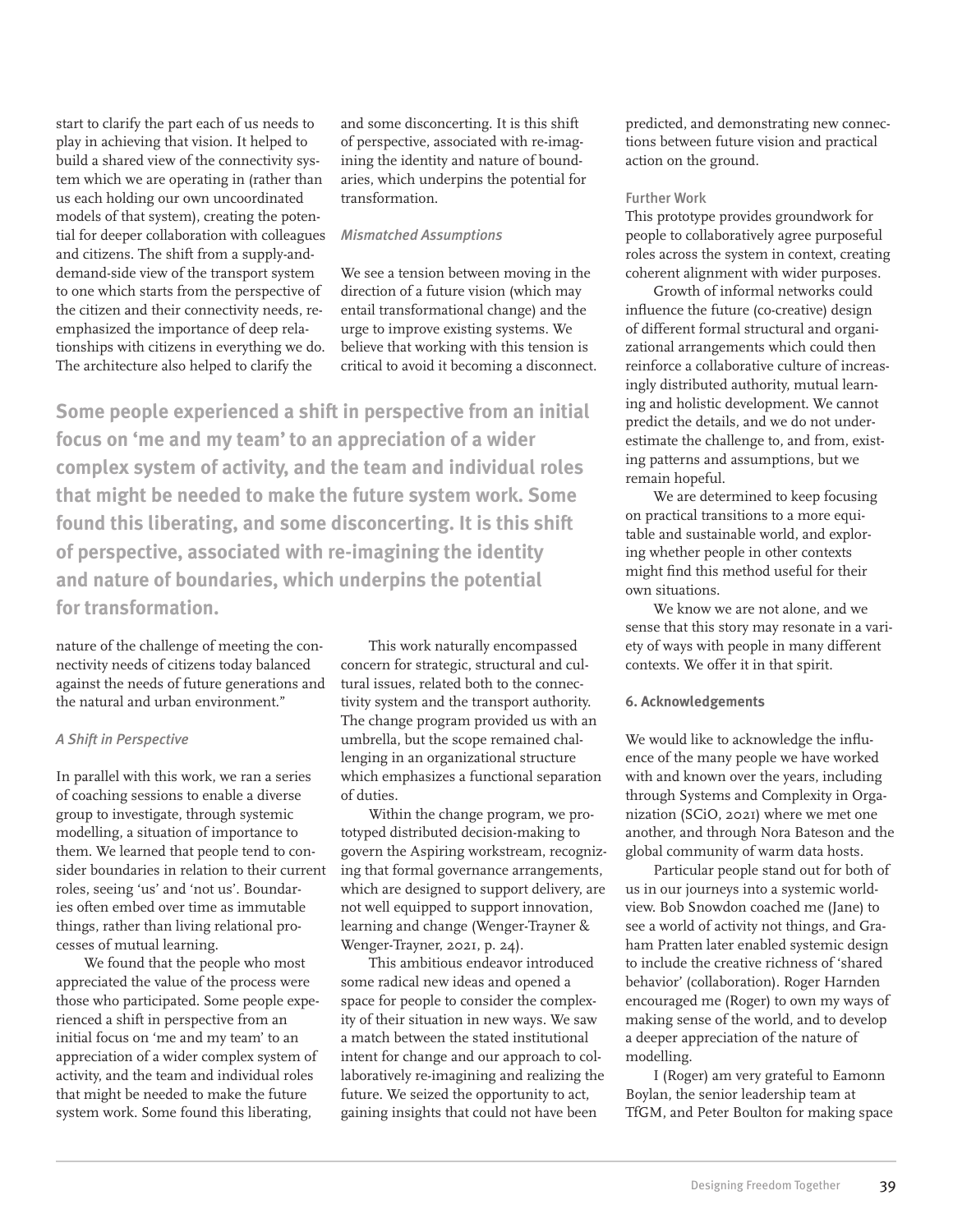start to clarify the part each of us needs to play in achieving that vision. It helped to build a shared view of the connectivity system which we are operating in (rather than us each holding our own uncoordinated models of that system), creating the potential for deeper collaboration with colleagues and citizens. The shift from a supply-anddemand-side view of the transport system to one which starts from the perspective of the citizen and their connectivity needs, reemphasized the importance of deep relationships with citizens in everything we do. The architecture also helped to clarify the

and some disconcerting. It is this shift of perspective, associated with re-imagining the identity and nature of boundaries, which underpins the potential for transformation.

# *Mismatched Assumptions*

We see a tension between moving in the direction of a future vision (which may entail transformational change) and the urge to improve existing systems. We believe that working with this tension is critical to avoid it becoming a disconnect.

**Some people experienced a shift in perspective from an initial focus on 'me and my team' to an appreciation of a wider complex system of activity, and the team and individual roles that might be needed to make the future system work. Some found this liberating, and some disconcerting. It is this shift of perspective, associated with re-imagining the identity and nature of boundaries, which underpins the potential for transformation.** 

nature of the challenge of meeting the connectivity needs of citizens today balanced against the needs of future generations and the natural and urban environment."

#### *A Shift in Perspective*

In parallel with this work, we ran a series of coaching sessions to enable a diverse group to investigate, through systemic modelling, a situation of importance to them. We learned that people tend to consider boundaries in relation to their current roles, seeing 'us' and 'not us'. Boundaries often embed over time as immutable things, rather than living relational processes of mutual learning.

We found that the people who most appreciated the value of the process were those who participated. Some people experienced a shift in perspective from an initial focus on 'me and my team' to an appreciation of a wider complex system of activity, and the team and individual roles that might be needed to make the future system work. Some found this liberating,

This work naturally encompassed concern for strategic, structural and cultural issues, related both to the connectivity system and the transport authority. The change program provided us with an umbrella, but the scope remained challenging in an organizational structure which emphasizes a functional separation of duties.

Within the change program, we prototyped distributed decision-making to govern the Aspiring workstream, recognizing that formal governance arrangements, which are designed to support delivery, are not well equipped to support innovation, learning and change (Wenger-Trayner & Wenger-Trayner, 2021, p. 24).

This ambitious endeavor introduced some radical new ideas and opened a space for people to consider the complexity of their situation in new ways. We saw a match between the stated institutional intent for change and our approach to collaboratively re-imagining and realizing the future. We seized the opportunity to act, gaining insights that could not have been

predicted, and demonstrating new connections between future vision and practical action on the ground.

## Further Work

This prototype provides groundwork for people to collaboratively agree purposeful roles across the system in context, creating coherent alignment with wider purposes.

Growth of informal networks could influence the future (co-creative) design of different formal structural and organizational arrangements which could then reinforce a collaborative culture of increasingly distributed authority, mutual learning and holistic development. We cannot predict the details, and we do not underestimate the challenge to, and from, existing patterns and assumptions, but we remain hopeful.

We are determined to keep focusing on practical transitions to a more equitable and sustainable world, and exploring whether people in other contexts might find this method useful for their own situations.

We know we are not alone, and we sense that this story may resonate in a variety of ways with people in many different contexts. We offer it in that spirit.

#### **6. Acknowledgements**

We would like to acknowledge the influence of the many people we have worked with and known over the years, including through Systems and Complexity in Organization (SCiO, 2021) where we met one another, and through Nora Bateson and the global community of warm data hosts.

Particular people stand out for both of us in our journeys into a systemic worldview. Bob Snowdon coached me (Jane) to see a world of activity not things, and Graham Pratten later enabled systemic design to include the creative richness of 'shared behavior' (collaboration). Roger Harnden encouraged me (Roger) to own my ways of making sense of the world, and to develop a deeper appreciation of the nature of modelling.

I (Roger) am very grateful to Eamonn Boylan, the senior leadership team at TfGM, and Peter Boulton for making space